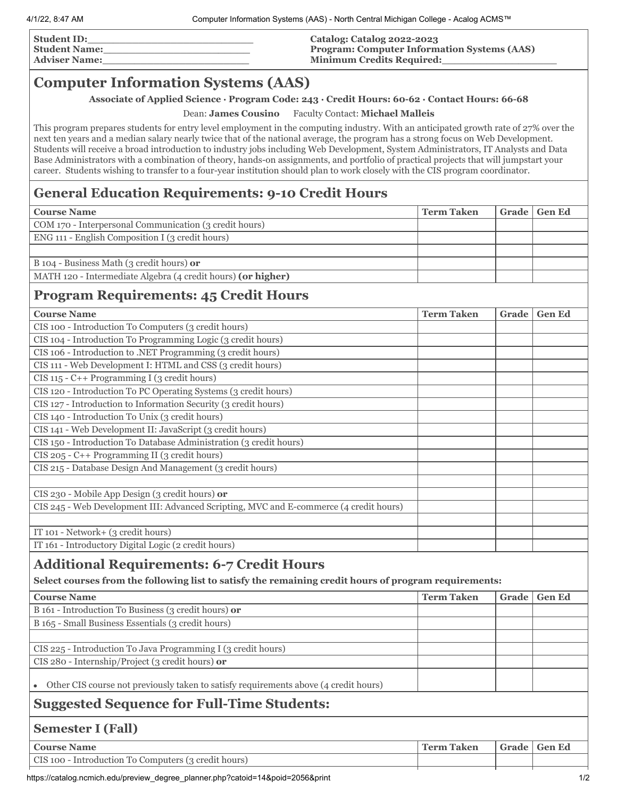| <b>Student ID:</b>   | Catalog: Catalog 2022-2023                         |
|----------------------|----------------------------------------------------|
| <b>Student Name:</b> | <b>Program: Computer Information Systems (AAS)</b> |
| <b>Adviser Name:</b> | <b>Minimum Credits Required:</b>                   |
|                      |                                                    |

## **Computer Information Systems (AAS)**

**Associate of Applied Science ∙ Program Code: 243 ∙ Credit Hours: 60-62 ∙ Contact Hours: 66-68**

Dean: **James Cousino** Faculty Contact: **Michael Malleis**

This program prepares students for entry level employment in the computing industry. With an anticipated growth rate of 27% over the next ten years and a median salary nearly twice that of the national average, the program has a strong focus on Web Development. Students will receive a broad introduction to industry jobs including Web Development, System Administrators, IT Analysts and Data Base Administrators with a combination of theory, hands-on assignments, and portfolio of practical projects that will jumpstart your career. Students wishing to transfer to a four-year institution should plan to work closely with the CIS program coordinator.

## **General Education Requirements: 9-10 Credit Hours**

| <b>Course Name</b>                                                                                    | <b>Term Taken</b> | Grade | <b>Gen Ed</b> |
|-------------------------------------------------------------------------------------------------------|-------------------|-------|---------------|
| COM 170 - Interpersonal Communication (3 credit hours)                                                |                   |       |               |
| ENG 111 - English Composition I (3 credit hours)                                                      |                   |       |               |
|                                                                                                       |                   |       |               |
| B 104 - Business Math (3 credit hours) or                                                             |                   |       |               |
| MATH 120 - Intermediate Algebra (4 credit hours) (or higher)                                          |                   |       |               |
| <b>Program Requirements: 45 Credit Hours</b>                                                          |                   |       |               |
| <b>Course Name</b>                                                                                    | <b>Term Taken</b> | Grade | <b>Gen Ed</b> |
| CIS 100 - Introduction To Computers (3 credit hours)                                                  |                   |       |               |
| CIS 104 - Introduction To Programming Logic (3 credit hours)                                          |                   |       |               |
| CIS 106 - Introduction to .NET Programming (3 credit hours)                                           |                   |       |               |
| CIS 111 - Web Development I: HTML and CSS (3 credit hours)                                            |                   |       |               |
| CIS 115 - C++ Programming I (3 credit hours)                                                          |                   |       |               |
| CIS 120 - Introduction To PC Operating Systems (3 credit hours)                                       |                   |       |               |
| CIS 127 - Introduction to Information Security (3 credit hours)                                       |                   |       |               |
| CIS 140 - Introduction To Unix (3 credit hours)                                                       |                   |       |               |
| CIS 141 - Web Development II: JavaScript (3 credit hours)                                             |                   |       |               |
| CIS 150 - Introduction To Database Administration (3 credit hours)                                    |                   |       |               |
| CIS 205 - C++ Programming II (3 credit hours)                                                         |                   |       |               |
| CIS 215 - Database Design And Management (3 credit hours)                                             |                   |       |               |
|                                                                                                       |                   |       |               |
| CIS 230 - Mobile App Design (3 credit hours) or                                                       |                   |       |               |
| CIS 245 - Web Development III: Advanced Scripting, MVC and E-commerce (4 credit hours)                |                   |       |               |
|                                                                                                       |                   |       |               |
| IT 101 - Network+ (3 credit hours)                                                                    |                   |       |               |
| IT 161 - Introductory Digital Logic (2 credit hours)                                                  |                   |       |               |
| <b>Additional Requirements: 6-7 Credit Hours</b>                                                      |                   |       |               |
|                                                                                                       |                   |       |               |
| Select courses from the following list to satisfy the remaining credit hours of program requirements: |                   |       |               |
| <b>Course Name</b>                                                                                    | <b>Term Taken</b> | Grade | <b>Gen Ed</b> |
| B 161 - Introduction To Business (3 credit hours) or                                                  |                   |       |               |
| B 165 - Small Business Essentials (3 credit hours)                                                    |                   |       |               |
|                                                                                                       |                   |       |               |
| CIS 225 - Introduction To Java Programming I (3 credit hours)                                         |                   |       |               |
| CIS 280 - Internship/Project (3 credit hours) or                                                      |                   |       |               |
|                                                                                                       |                   |       |               |
| Other CIS course not previously taken to satisfy requirements above (4 credit hours)                  |                   |       |               |
| <b>Suggested Sequence for Full-Time Students:</b>                                                     |                   |       |               |
| <b>Semester I (Fall)</b>                                                                              |                   |       |               |
| <b>Course Name</b>                                                                                    | <b>Term Taken</b> |       | Grade Gen Ed  |

| CIS 100 - Introduction To Computers (3 credit hours) |  |  |
|------------------------------------------------------|--|--|
|                                                      |  |  |

https://catalog.ncmich.edu/preview\_degree\_planner.php?catoid=14&poid=2056&print 1/2